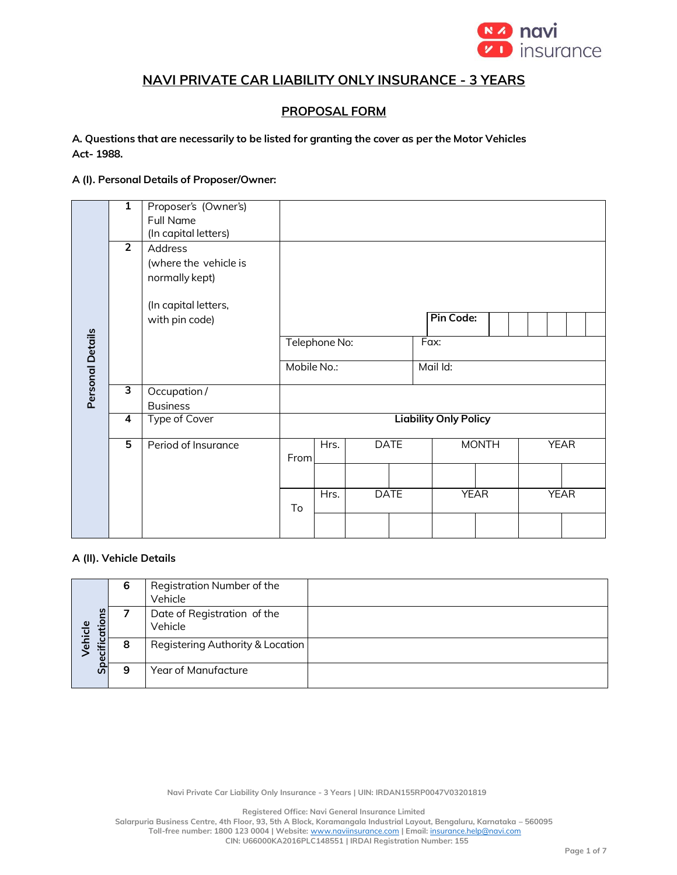

# **NAVI PRIVATE CAR LIABILITY ONLY INSURANCE - 3 YEARS**

## **PROPOSAL FORM**

#### **A. Questions that are necessarily to be listed for granting the cover as per the Motor Vehicles Act- 1988.**

#### **A (I). Personal Details of Proposer/Owner:**

| 1                                             | Proposer's (Owner's)  |                                      |             |                     |              |             |  |             |             |  |  |  |
|-----------------------------------------------|-----------------------|--------------------------------------|-------------|---------------------|--------------|-------------|--|-------------|-------------|--|--|--|
|                                               | Full Name             |                                      |             |                     |              |             |  |             |             |  |  |  |
|                                               | (In capital letters)  |                                      |             |                     |              |             |  |             |             |  |  |  |
|                                               | Address               |                                      |             |                     |              |             |  |             |             |  |  |  |
|                                               | (where the vehicle is |                                      |             |                     |              |             |  |             |             |  |  |  |
|                                               | normally kept)        |                                      |             |                     |              |             |  |             |             |  |  |  |
|                                               |                       |                                      |             |                     |              |             |  |             |             |  |  |  |
|                                               | with pin code)        |                                      |             |                     |              | Pin Code:   |  |             |             |  |  |  |
|                                               |                       | Telephone No:                        |             |                     |              | Fax:        |  |             |             |  |  |  |
|                                               |                       |                                      |             |                     | Mail Id:     |             |  |             |             |  |  |  |
| З                                             |                       |                                      |             |                     |              |             |  |             |             |  |  |  |
|                                               | <b>Business</b>       |                                      |             |                     |              |             |  |             |             |  |  |  |
| $\overline{\mathbf{4}}$                       | <b>Type of Cover</b>  | <b>Liability Only Policy</b>         |             |                     |              |             |  |             |             |  |  |  |
| $\overline{5}$<br>Hrs.<br>Period of Insurance |                       |                                      | <b>DATE</b> |                     | <b>MONTH</b> |             |  | <b>YEAR</b> |             |  |  |  |
|                                               |                       |                                      |             |                     |              |             |  |             |             |  |  |  |
|                                               |                       |                                      | Hrs.        |                     |              | <b>YEAR</b> |  |             | <b>YEAR</b> |  |  |  |
|                                               |                       |                                      |             |                     |              |             |  |             |             |  |  |  |
|                                               | $\overline{2}$        | (In capital letters,<br>Occupation / | To          | Mobile No.:<br>From |              | <b>DATE</b> |  |             |             |  |  |  |

#### **A (II). Vehicle Details**

|                          | 6 | Registration Number of the<br>Vehicle  |  |
|--------------------------|---|----------------------------------------|--|
| ecifications<br><u>യ</u> |   | Date of Registration of the<br>Vehicle |  |
| ehicl                    | 8 | Registering Authority & Location       |  |
| <u>ام</u>                | 9 | Year of Manufacture                    |  |

**Navi Private Car Liability Only Insurance - 3 Years | UIN: IRDAN155RP0047V03201819**

**Registered Office: Navi General Insurance Limited**

**Salarpuria Business Centre, 4th Floor, 93, 5th A Block, Koramangala Industrial Layout, Bengaluru, Karnataka – 560095 Toll-free number: 1800 123 0004 | Website:** [www.naviinsurance.com](http://www.naviinsurance.com/) **| Email:** [insurance.help@navi.com](mailto:insurance.help@navi.com)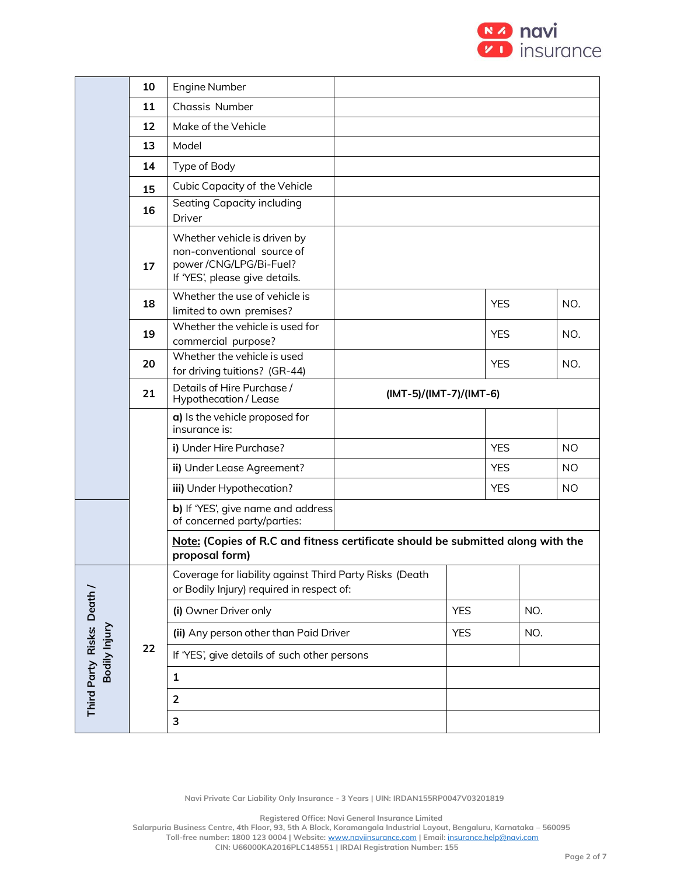

|                                            | 10                                                        | Engine Number                                                                                                          |  |            |            |                         |           |  |  |  |
|--------------------------------------------|-----------------------------------------------------------|------------------------------------------------------------------------------------------------------------------------|--|------------|------------|-------------------------|-----------|--|--|--|
|                                            | 11                                                        | <b>Chassis Number</b>                                                                                                  |  |            |            |                         |           |  |  |  |
|                                            | 12                                                        | Make of the Vehicle                                                                                                    |  |            |            |                         |           |  |  |  |
|                                            | 13                                                        | Model                                                                                                                  |  |            |            |                         |           |  |  |  |
|                                            | 14                                                        | Type of Body                                                                                                           |  |            |            |                         |           |  |  |  |
|                                            | 15                                                        | Cubic Capacity of the Vehicle                                                                                          |  |            |            |                         |           |  |  |  |
|                                            | 16                                                        | Seating Capacity including<br><b>Driver</b>                                                                            |  |            |            |                         |           |  |  |  |
|                                            | 17                                                        | Whether vehicle is driven by<br>non-conventional source of<br>power/CNG/LPG/Bi-Fuel?<br>If 'YES', please give details. |  |            |            |                         |           |  |  |  |
|                                            | 18                                                        | Whether the use of vehicle is<br>limited to own premises?                                                              |  | <b>YES</b> |            | NO.                     |           |  |  |  |
|                                            | 19                                                        | Whether the vehicle is used for<br>commercial purpose?                                                                 |  |            | <b>YES</b> |                         | NO.       |  |  |  |
|                                            | 20                                                        | Whether the vehicle is used<br>for driving tuitions? (GR-44)                                                           |  |            | <b>YES</b> |                         | NO.       |  |  |  |
|                                            | Details of Hire Purchase /<br>21<br>Hypothecation / Lease |                                                                                                                        |  |            |            | (IMT-5)/(IMT-7)/(IMT-6) |           |  |  |  |
|                                            |                                                           | a) Is the vehicle proposed for<br>insurance is:                                                                        |  |            |            |                         |           |  |  |  |
|                                            |                                                           | i) Under Hire Purchase?                                                                                                |  |            | <b>YES</b> |                         | <b>NO</b> |  |  |  |
|                                            |                                                           | ii) Under Lease Agreement?                                                                                             |  |            | <b>YES</b> |                         | <b>NO</b> |  |  |  |
|                                            |                                                           | iii) Under Hypothecation?                                                                                              |  |            | <b>YES</b> |                         | NO.       |  |  |  |
|                                            |                                                           | b) If 'YES', give name and address<br>of concerned party/parties:                                                      |  |            |            |                         |           |  |  |  |
|                                            |                                                           | Note: (Copies of R.C and fitness certificate should be submitted along with the<br>proposal form)                      |  |            |            |                         |           |  |  |  |
|                                            |                                                           | Coverage for liability against Third Party Risks (Death<br>or Bodily Injury) required in respect of:                   |  |            |            |                         |           |  |  |  |
|                                            |                                                           | (i) Owner Driver only                                                                                                  |  |            |            | NO.                     |           |  |  |  |
|                                            |                                                           | (ii) Any person other than Paid Driver                                                                                 |  |            |            | NO.                     |           |  |  |  |
| Third Party Risks: Death /<br>Bodily Injur | 22                                                        | If 'YES', give details of such other persons                                                                           |  |            |            |                         |           |  |  |  |
|                                            |                                                           | $\mathbf{1}$                                                                                                           |  |            |            |                         |           |  |  |  |
|                                            |                                                           | $\overline{2}$                                                                                                         |  |            |            |                         |           |  |  |  |
|                                            |                                                           | 3                                                                                                                      |  |            |            |                         |           |  |  |  |
|                                            |                                                           |                                                                                                                        |  |            |            |                         |           |  |  |  |

**Registered Office: Navi General Insurance Limited**

**Salarpuria Business Centre, 4th Floor, 93, 5th A Block, Koramangala Industrial Layout, Bengaluru, Karnataka – 560095 Toll-free number: 1800 123 0004 | Website:** [www.naviinsurance.com](http://www.naviinsurance.com/) **| Email:** [insurance.help@navi.com](mailto:insurance.help@navi.com)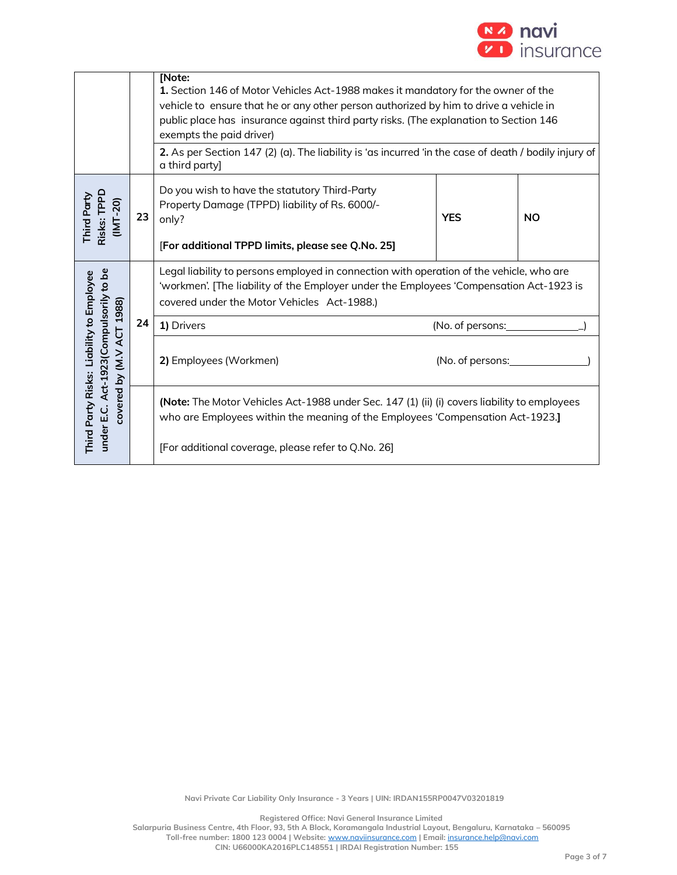

|                                                                                                                  |    | [Note:<br>1. Section 146 of Motor Vehicles Act-1988 makes it mandatory for the owner of the<br>vehicle to ensure that he or any other person authorized by him to drive a vehicle in<br>public place has insurance against third party risks. (The explanation to Section 146<br>exempts the paid driver)<br>2. As per Section 147 (2) (a). The liability is 'as incurred 'in the case of death / bodily injury of<br>a third party] |                  |           |  |  |  |  |
|------------------------------------------------------------------------------------------------------------------|----|--------------------------------------------------------------------------------------------------------------------------------------------------------------------------------------------------------------------------------------------------------------------------------------------------------------------------------------------------------------------------------------------------------------------------------------|------------------|-----------|--|--|--|--|
| Risks: TPPD<br>Third Party<br>$(MT-20)$                                                                          | 23 | Do you wish to have the statutory Third-Party<br>Property Damage (TPPD) liability of Rs. 6000/-<br>only?<br>[For additional TPPD limits, please see Q.No. 25]                                                                                                                                                                                                                                                                        | <b>YES</b>       | <b>NO</b> |  |  |  |  |
|                                                                                                                  |    | Legal liability to persons employed in connection with operation of the vehicle, who are<br>'workmen'. [The liability of the Employer under the Employees 'Compensation Act-1923 is<br>covered under the Motor Vehicles Act-1988.)                                                                                                                                                                                                   |                  |           |  |  |  |  |
|                                                                                                                  | 24 | 1) Drivers                                                                                                                                                                                                                                                                                                                                                                                                                           | (No. of persons: |           |  |  |  |  |
| under E.C. Act-1923 (Compulsorily to be<br>Third Party Risks: Liability to Employee<br>covered by (M.V ACT 1988) |    | 2) Employees (Workmen)<br>(No. of persons:                                                                                                                                                                                                                                                                                                                                                                                           |                  |           |  |  |  |  |
|                                                                                                                  |    | (Note: The Motor Vehicles Act-1988 under Sec. 147 (1) (ii) (i) covers liability to employees<br>who are Employees within the meaning of the Employees 'Compensation Act-1923.]                                                                                                                                                                                                                                                       |                  |           |  |  |  |  |
|                                                                                                                  |    | [For additional coverage, please refer to Q.No. 26]                                                                                                                                                                                                                                                                                                                                                                                  |                  |           |  |  |  |  |

**Registered Office: Navi General Insurance Limited**

**Salarpuria Business Centre, 4th Floor, 93, 5th A Block, Koramangala Industrial Layout, Bengaluru, Karnataka – 560095 Toll-free number: 1800 123 0004 | Website:** [www.naviinsurance.com](http://www.naviinsurance.com/) **| Email:** [insurance.help@navi.com](mailto:insurance.help@navi.com)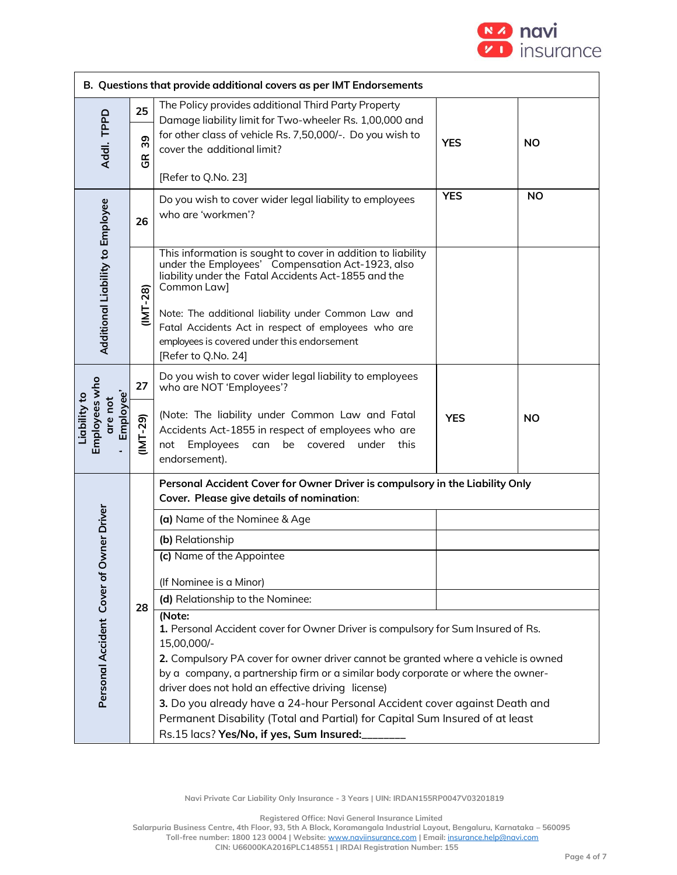

|                                                       | B. Questions that provide additional covers as per IMT Endorsements |                                                                                                                                                                                                                                                                                                                                                                                                                                                                                                         |            |           |  |  |  |  |  |  |
|-------------------------------------------------------|---------------------------------------------------------------------|---------------------------------------------------------------------------------------------------------------------------------------------------------------------------------------------------------------------------------------------------------------------------------------------------------------------------------------------------------------------------------------------------------------------------------------------------------------------------------------------------------|------------|-----------|--|--|--|--|--|--|
|                                                       | 25                                                                  | The Policy provides additional Third Party Property<br>Damage liability limit for Two-wheeler Rs. 1,00,000 and                                                                                                                                                                                                                                                                                                                                                                                          |            |           |  |  |  |  |  |  |
| Addl. TPPD                                            | 39<br>$\frac{\alpha}{9}$                                            | for other class of vehicle Rs. 7,50,000/-. Do you wish to<br>cover the additional limit?                                                                                                                                                                                                                                                                                                                                                                                                                | <b>YES</b> | <b>NO</b> |  |  |  |  |  |  |
|                                                       |                                                                     | [Refer to Q.No. 23]                                                                                                                                                                                                                                                                                                                                                                                                                                                                                     |            |           |  |  |  |  |  |  |
|                                                       | 26                                                                  | Do you wish to cover wider legal liability to employees<br>who are 'workmen'?                                                                                                                                                                                                                                                                                                                                                                                                                           | <b>YES</b> | <b>NO</b> |  |  |  |  |  |  |
| Additional Liability to Employee                      | $IMT-28$                                                            | This information is sought to cover in addition to liability<br>under the Employees' Compensation Act-1923, also<br>liability under the Fatal Accidents Act-1855 and the<br>Common Law]<br>Note: The additional liability under Common Law and<br>Fatal Accidents Act in respect of employees who are<br>employees is covered under this endorsement<br>[Refer to Q.No. 24]                                                                                                                             |            |           |  |  |  |  |  |  |
|                                                       | 27                                                                  | Do you wish to cover wider legal liability to employees<br>who are NOT 'Employees'?                                                                                                                                                                                                                                                                                                                                                                                                                     |            |           |  |  |  |  |  |  |
| Employees who<br>Employee'<br>Liability to<br>are not | $(IV - 29)$                                                         | (Note: The liability under Common Law and Fatal<br>Accidents Act-1855 in respect of employees who are<br>Employees<br>be<br>covered<br>under this<br>not<br>can<br>endorsement).                                                                                                                                                                                                                                                                                                                        | <b>YES</b> | NO        |  |  |  |  |  |  |
|                                                       |                                                                     | Personal Accident Cover for Owner Driver is compulsory in the Liability Only<br>Cover. Please give details of nomination:                                                                                                                                                                                                                                                                                                                                                                               |            |           |  |  |  |  |  |  |
| Owner Driver                                          |                                                                     | (a) Name of the Nominee & Age                                                                                                                                                                                                                                                                                                                                                                                                                                                                           |            |           |  |  |  |  |  |  |
|                                                       |                                                                     | (b) Relationship                                                                                                                                                                                                                                                                                                                                                                                                                                                                                        |            |           |  |  |  |  |  |  |
|                                                       |                                                                     | (c) Name of the Appointee                                                                                                                                                                                                                                                                                                                                                                                                                                                                               |            |           |  |  |  |  |  |  |
|                                                       |                                                                     | (If Nominee is a Minor)                                                                                                                                                                                                                                                                                                                                                                                                                                                                                 |            |           |  |  |  |  |  |  |
|                                                       | 28                                                                  | (d) Relationship to the Nominee:                                                                                                                                                                                                                                                                                                                                                                                                                                                                        |            |           |  |  |  |  |  |  |
| Personal Accident Cover of                            |                                                                     | (Note:<br>1. Personal Accident cover for Owner Driver is compulsory for Sum Insured of Rs.<br>15,00,000/-<br>2. Compulsory PA cover for owner driver cannot be granted where a vehicle is owned<br>by a company, a partnership firm or a similar body corporate or where the owner-<br>driver does not hold an effective driving license)<br>3. Do you already have a 24-hour Personal Accident cover against Death and<br>Permanent Disability (Total and Partial) for Capital Sum Insured of at least |            |           |  |  |  |  |  |  |
|                                                       |                                                                     | Rs.15 lacs? Yes/No, if yes, Sum Insured:                                                                                                                                                                                                                                                                                                                                                                                                                                                                |            |           |  |  |  |  |  |  |

**Registered Office: Navi General Insurance Limited**

**Salarpuria Business Centre, 4th Floor, 93, 5th A Block, Koramangala Industrial Layout, Bengaluru, Karnataka – 560095 Toll-free number: 1800 123 0004 | Website:** [www.naviinsurance.com](http://www.naviinsurance.com/) **| Email:** [insurance.help@navi.com](mailto:insurance.help@navi.com)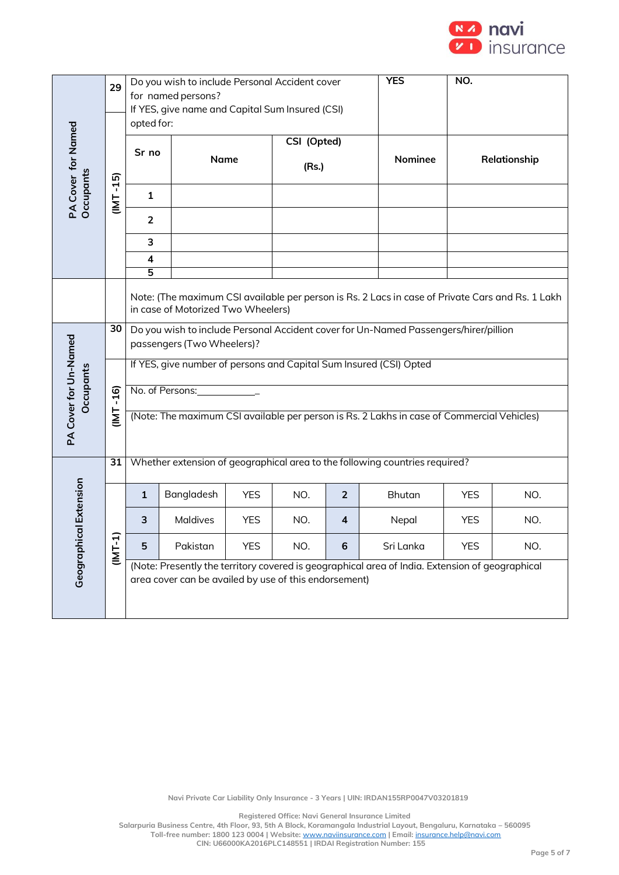

|                       | 29               | Do you wish to include Personal Accident cover<br>for named persons?<br>If YES, give name and Capital Sum Insured (CSI)<br>opted for:  |                                                       |            |             |                | <b>YES</b>                                                                                      | NO.          |     |  |  |
|-----------------------|------------------|----------------------------------------------------------------------------------------------------------------------------------------|-------------------------------------------------------|------------|-------------|----------------|-------------------------------------------------------------------------------------------------|--------------|-----|--|--|
|                       |                  |                                                                                                                                        |                                                       |            |             |                |                                                                                                 |              |     |  |  |
|                       |                  | Sr no                                                                                                                                  |                                                       |            | CSI (Opted) |                | Nominee                                                                                         |              |     |  |  |
| PA Cover for Named    | $-15$            |                                                                                                                                        | Name                                                  |            | (Rs.)       |                |                                                                                                 | Relationship |     |  |  |
| Occupants             | <b>TMI</b>       | $\mathbf{1}$                                                                                                                           |                                                       |            |             |                |                                                                                                 |              |     |  |  |
|                       |                  | $\overline{2}$                                                                                                                         |                                                       |            |             |                |                                                                                                 |              |     |  |  |
|                       |                  | 3                                                                                                                                      |                                                       |            |             |                |                                                                                                 |              |     |  |  |
|                       |                  | 4                                                                                                                                      |                                                       |            |             |                |                                                                                                 |              |     |  |  |
|                       |                  | 5                                                                                                                                      |                                                       |            |             |                |                                                                                                 |              |     |  |  |
|                       |                  | Note: (The maximum CSI available per person is Rs. 2 Lacs in case of Private Cars and Rs. 1 Lakh<br>in case of Motorized Two Wheelers) |                                                       |            |             |                |                                                                                                 |              |     |  |  |
|                       | 30               | Do you wish to include Personal Accident cover for Un-Named Passengers/hirer/pillion<br>passengers (Two Wheelers)?                     |                                                       |            |             |                |                                                                                                 |              |     |  |  |
|                       |                  |                                                                                                                                        |                                                       |            |             |                |                                                                                                 |              |     |  |  |
|                       |                  |                                                                                                                                        |                                                       |            |             |                | If YES, give number of persons and Capital Sum Insured (CSI) Opted                              |              |     |  |  |
| <b>Dccupants</b>      | $-16$            |                                                                                                                                        | No. of Persons:                                       |            |             |                |                                                                                                 |              |     |  |  |
|                       | TMI              |                                                                                                                                        |                                                       |            |             |                | (Note: The maximum CSI available per person is Rs. 2 Lakhs in case of Commercial Vehicles)      |              |     |  |  |
| PA Cover for Un-Named |                  |                                                                                                                                        |                                                       |            |             |                |                                                                                                 |              |     |  |  |
|                       | 31               |                                                                                                                                        |                                                       |            |             |                | Whether extension of geographical area to the following countries required?                     |              |     |  |  |
|                       |                  |                                                                                                                                        |                                                       |            |             |                |                                                                                                 |              |     |  |  |
|                       |                  | 1                                                                                                                                      | Bangladesh                                            | <b>YES</b> | NO.         | $\overline{2}$ | <b>Bhutan</b>                                                                                   | <b>YES</b>   | NO. |  |  |
| cal Extension         |                  | 3                                                                                                                                      | Maldives                                              | <b>YES</b> | NO.         | 4              | Nepal                                                                                           | <b>YES</b>   | NO. |  |  |
| Geographi             | ন<br>$(1M)^{-1}$ | 5                                                                                                                                      | Pakistan                                              | <b>YES</b> | NO.         | 6              | Sri Lanka                                                                                       | <b>YES</b>   | NO. |  |  |
|                       |                  |                                                                                                                                        |                                                       |            |             |                | (Note: Presently the territory covered is geographical area of India. Extension of geographical |              |     |  |  |
|                       |                  |                                                                                                                                        | area cover can be availed by use of this endorsement) |            |             |                |                                                                                                 |              |     |  |  |
|                       |                  |                                                                                                                                        |                                                       |            |             |                |                                                                                                 |              |     |  |  |

**Registered Office: Navi General Insurance Limited**

**Salarpuria Business Centre, 4th Floor, 93, 5th A Block, Koramangala Industrial Layout, Bengaluru, Karnataka – 560095 Toll-free number: 1800 123 0004 | Website:** [www.naviinsurance.com](http://www.naviinsurance.com/) **| Email:** [insurance.help@navi.com](mailto:insurance.help@navi.com)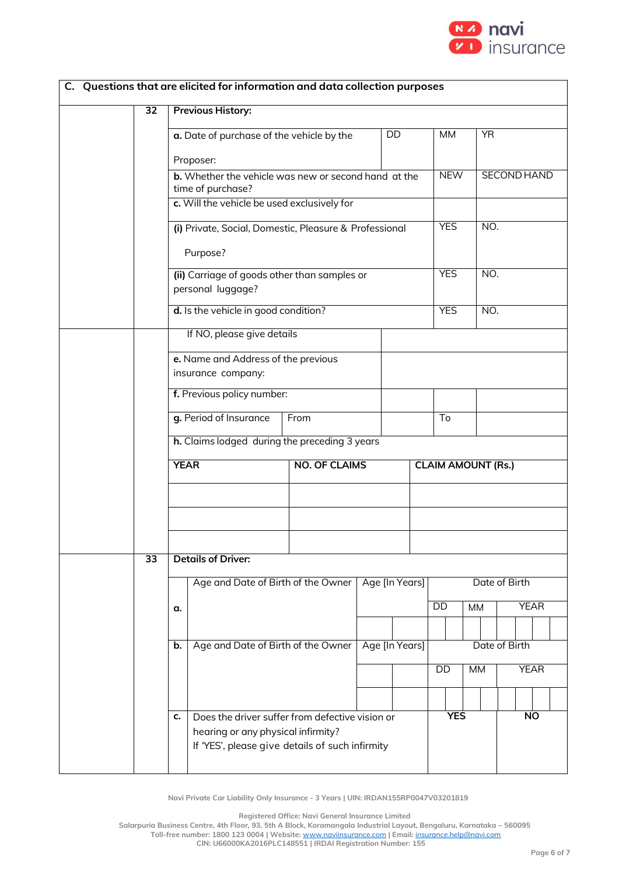

|                 |                                                           | C. Questions that are elicited for information and data collection purposes           |                      |                |                |                           |           |               |                    |             |  |  |
|-----------------|-----------------------------------------------------------|---------------------------------------------------------------------------------------|----------------------|----------------|----------------|---------------------------|-----------|---------------|--------------------|-------------|--|--|
| $\overline{32}$ |                                                           | <b>Previous History:</b>                                                              |                      |                |                |                           |           |               |                    |             |  |  |
|                 |                                                           | a. Date of purchase of the vehicle by the                                             |                      |                | DD             | MM                        |           | <b>YR</b>     |                    |             |  |  |
|                 |                                                           | Proposer:                                                                             |                      |                |                |                           |           |               |                    |             |  |  |
|                 |                                                           | <b>b.</b> Whether the vehicle was new or second hand at the<br>time of purchase?      |                      |                |                | <b>NEW</b>                |           |               | <b>SECOND HAND</b> |             |  |  |
|                 |                                                           | c. Will the vehicle be used exclusively for                                           |                      |                |                |                           |           |               |                    |             |  |  |
|                 |                                                           | (i) Private, Social, Domestic, Pleasure & Professional<br>Purpose?                    |                      |                |                | <b>YES</b>                |           | NO.           |                    |             |  |  |
|                 |                                                           |                                                                                       |                      |                |                | <b>YES</b>                |           | NO.           |                    |             |  |  |
|                 |                                                           | (ii) Carriage of goods other than samples or<br>personal luggage?                     |                      |                |                |                           |           |               |                    |             |  |  |
|                 |                                                           | d. Is the vehicle in good condition?                                                  |                      |                |                | <b>YES</b>                |           | NO.           |                    |             |  |  |
|                 |                                                           | If NO, please give details                                                            |                      |                |                |                           |           |               |                    |             |  |  |
|                 | e. Name and Address of the previous<br>insurance company: |                                                                                       |                      |                |                |                           |           |               |                    |             |  |  |
|                 |                                                           | f. Previous policy number:                                                            |                      |                |                |                           |           |               |                    |             |  |  |
|                 |                                                           | g. Period of Insurance                                                                | From                 |                |                | To                        |           |               |                    |             |  |  |
|                 | h. Claims lodged during the preceding 3 years             |                                                                                       |                      |                |                |                           |           |               |                    |             |  |  |
|                 | <b>YEAR</b>                                               |                                                                                       | <b>NO. OF CLAIMS</b> |                |                | <b>CLAIM AMOUNT (Rs.)</b> |           |               |                    |             |  |  |
|                 |                                                           |                                                                                       |                      |                |                |                           |           |               |                    |             |  |  |
|                 |                                                           |                                                                                       |                      |                |                |                           |           |               |                    |             |  |  |
|                 |                                                           |                                                                                       |                      |                |                |                           |           |               |                    |             |  |  |
| $\overline{33}$ |                                                           | <b>Details of Driver:</b>                                                             |                      |                |                |                           |           |               |                    |             |  |  |
|                 |                                                           | Age and Date of Birth of the Owner                                                    |                      | Age [In Years] |                |                           |           | Date of Birth |                    |             |  |  |
|                 | α.                                                        |                                                                                       |                      |                |                | DD                        | <b>MM</b> |               |                    | <b>YEAR</b> |  |  |
|                 | b.                                                        | Age and Date of Birth of the Owner                                                    |                      |                | Age [In Years] |                           |           |               | Date of Birth      |             |  |  |
|                 |                                                           |                                                                                       |                      |                |                | DD                        | <b>MM</b> |               |                    | <b>YEAR</b> |  |  |
|                 |                                                           |                                                                                       |                      |                |                |                           |           |               |                    |             |  |  |
|                 | c.                                                        | Does the driver suffer from defective vision or                                       |                      |                |                | <b>YES</b>                |           |               |                    | <b>NO</b>   |  |  |
|                 |                                                           | hearing or any physical infirmity?<br>If 'YES', please give details of such infirmity |                      |                |                |                           |           |               |                    |             |  |  |

**Registered Office: Navi General Insurance Limited**

**Salarpuria Business Centre, 4th Floor, 93, 5th A Block, Koramangala Industrial Layout, Bengaluru, Karnataka – 560095**

**Toll-free number: 1800 123 0004 | Website:** [www.naviinsurance.com](http://www.naviinsurance.com/) **| Email:** [insurance.help@navi.com](mailto:insurance.help@navi.com) **CIN: U66000KA2016PLC148551 | IRDAI Registration Number: 155**